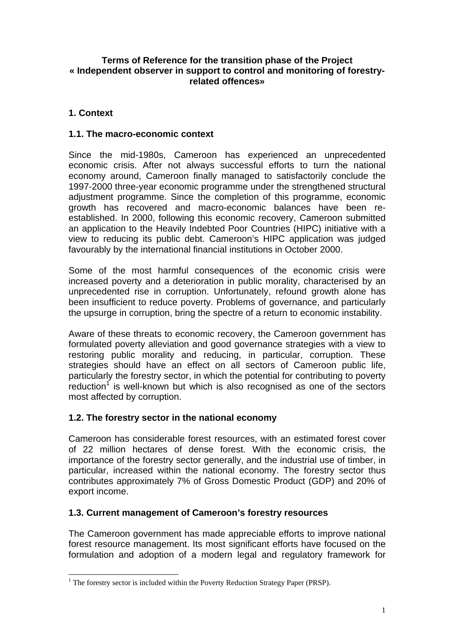#### **Terms of Reference for the transition phase of the Project « Independent observer in support to control and monitoring of forestryrelated offences»**

# **1. Context**

#### **1.1. The macro-economic context**

Since the mid-1980s, Cameroon has experienced an unprecedented economic crisis. After not always successful efforts to turn the national economy around, Cameroon finally managed to satisfactorily conclude the 1997-2000 three-year economic programme under the strengthened structural adjustment programme. Since the completion of this programme, economic growth has recovered and macro-economic balances have been reestablished. In 2000, following this economic recovery, Cameroon submitted an application to the Heavily Indebted Poor Countries (HIPC) initiative with a view to reducing its public debt. Cameroon's HIPC application was judged favourably by the international financial institutions in October 2000.

Some of the most harmful consequences of the economic crisis were increased poverty and a deterioration in public morality, characterised by an unprecedented rise in corruption. Unfortunately, refound growth alone has been insufficient to reduce poverty. Problems of governance, and particularly the upsurge in corruption, bring the spectre of a return to economic instability.

Aware of these threats to economic recovery, the Cameroon government has formulated poverty alleviation and good governance strategies with a view to restoring public morality and reducing, in particular, corruption. These strategies should have an effect on all sectors of Cameroon public life, particularly the forestry sector, in which the potential for contributing to poverty reduction<sup>[1](#page-0-0)</sup> is well-known but which is also recognised as one of the sectors most affected by corruption.

## **1.2. The forestry sector in the national economy**

Cameroon has considerable forest resources, with an estimated forest cover of 22 million hectares of dense forest. With the economic crisis, the importance of the forestry sector generally, and the industrial use of timber, in particular, increased within the national economy. The forestry sector thus contributes approximately 7% of Gross Domestic Product (GDP) and 20% of export income.

## **1.3. Current management of Cameroon's forestry resources**

The Cameroon government has made appreciable efforts to improve national forest resource management. Its most significant efforts have focused on the formulation and adoption of a modern legal and regulatory framework for

<span id="page-0-0"></span><sup>|&</sup>lt;br>|<br>|  $<sup>1</sup>$  The forestry sector is included within the Poverty Reduction Strategy Paper (PRSP).</sup>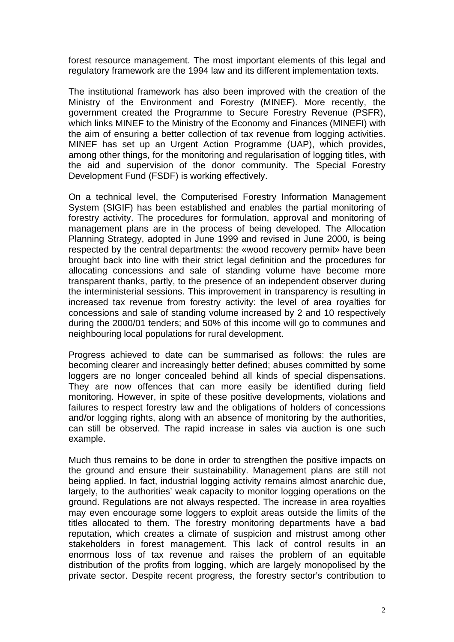forest resource management. The most important elements of this legal and regulatory framework are the 1994 law and its different implementation texts.

The institutional framework has also been improved with the creation of the Ministry of the Environment and Forestry (MINEF). More recently, the government created the Programme to Secure Forestry Revenue (PSFR), which links MINEF to the Ministry of the Economy and Finances (MINEFI) with the aim of ensuring a better collection of tax revenue from logging activities. MINEF has set up an Urgent Action Programme (UAP), which provides, among other things, for the monitoring and regularisation of logging titles, with the aid and supervision of the donor community. The Special Forestry Development Fund (FSDF) is working effectively.

On a technical level, the Computerised Forestry Information Management System (SIGIF) has been established and enables the partial monitoring of forestry activity. The procedures for formulation, approval and monitoring of management plans are in the process of being developed. The Allocation Planning Strategy, adopted in June 1999 and revised in June 2000, is being respected by the central departments: the «wood recovery permit» have been brought back into line with their strict legal definition and the procedures for allocating concessions and sale of standing volume have become more transparent thanks, partly, to the presence of an independent observer during the interministerial sessions. This improvement in transparency is resulting in increased tax revenue from forestry activity: the level of area royalties for concessions and sale of standing volume increased by 2 and 10 respectively during the 2000/01 tenders; and 50% of this income will go to communes and neighbouring local populations for rural development.

Progress achieved to date can be summarised as follows: the rules are becoming clearer and increasingly better defined; abuses committed by some loggers are no longer concealed behind all kinds of special dispensations. They are now offences that can more easily be identified during field monitoring. However, in spite of these positive developments, violations and failures to respect forestry law and the obligations of holders of concessions and/or logging rights, along with an absence of monitoring by the authorities, can still be observed. The rapid increase in sales via auction is one such example.

Much thus remains to be done in order to strengthen the positive impacts on the ground and ensure their sustainability. Management plans are still not being applied. In fact, industrial logging activity remains almost anarchic due, largely, to the authorities' weak capacity to monitor logging operations on the ground. Regulations are not always respected. The increase in area royalties may even encourage some loggers to exploit areas outside the limits of the titles allocated to them. The forestry monitoring departments have a bad reputation, which creates a climate of suspicion and mistrust among other stakeholders in forest management. This lack of control results in an enormous loss of tax revenue and raises the problem of an equitable distribution of the profits from logging, which are largely monopolised by the private sector. Despite recent progress, the forestry sector's contribution to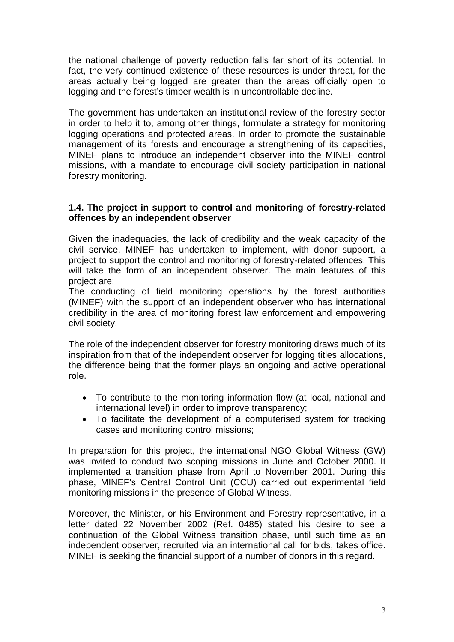the national challenge of poverty reduction falls far short of its potential. In fact, the very continued existence of these resources is under threat, for the areas actually being logged are greater than the areas officially open to logging and the forest's timber wealth is in uncontrollable decline.

The government has undertaken an institutional review of the forestry sector in order to help it to, among other things, formulate a strategy for monitoring logging operations and protected areas. In order to promote the sustainable management of its forests and encourage a strengthening of its capacities, MINEF plans to introduce an independent observer into the MINEF control missions, with a mandate to encourage civil society participation in national forestry monitoring.

#### **1.4. The project in support to control and monitoring of forestry-related offences by an independent observer**

Given the inadequacies, the lack of credibility and the weak capacity of the civil service, MINEF has undertaken to implement, with donor support, a project to support the control and monitoring of forestry-related offences. This will take the form of an independent observer. The main features of this project are:

The conducting of field monitoring operations by the forest authorities (MINEF) with the support of an independent observer who has international credibility in the area of monitoring forest law enforcement and empowering civil society.

The role of the independent observer for forestry monitoring draws much of its inspiration from that of the independent observer for logging titles allocations, the difference being that the former plays an ongoing and active operational role.

- To contribute to the monitoring information flow (at local, national and international level) in order to improve transparency;
- To facilitate the development of a computerised system for tracking cases and monitoring control missions;

In preparation for this project, the international NGO Global Witness (GW) was invited to conduct two scoping missions in June and October 2000. It implemented a transition phase from April to November 2001. During this phase, MINEF's Central Control Unit (CCU) carried out experimental field monitoring missions in the presence of Global Witness.

Moreover, the Minister, or his Environment and Forestry representative, in a letter dated 22 November 2002 (Ref. 0485) stated his desire to see a continuation of the Global Witness transition phase, until such time as an independent observer, recruited via an international call for bids, takes office. MINEF is seeking the financial support of a number of donors in this regard.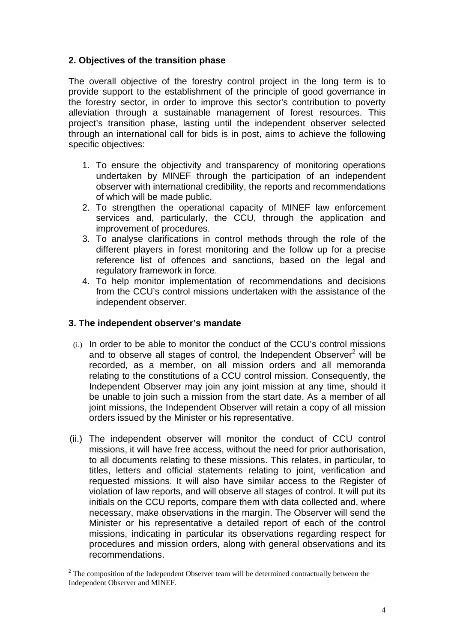### **2. Objectives of the transition phase**

The overall objective of the forestry control project in the long term is to provide support to the establishment of the principle of good governance in the forestry sector, in order to improve this sector's contribution to poverty alleviation through a sustainable management of forest resources. This project's transition phase, lasting until the independent observer selected through an international call for bids is in post, aims to achieve the following specific objectives:

- 1. To ensure the objectivity and transparency of monitoring operations undertaken by MINEF through the participation of an independent observer with international credibility, the reports and recommendations of which will be made public.
- 2. To strengthen the operational capacity of MINEF law enforcement services and, particularly, the CCU, through the application and improvement of procedures.
- 3. To analyse clarifications in control methods through the role of the different players in forest monitoring and the follow up for a precise reference list of offences and sanctions, based on the legal and regulatory framework in force.
- 4. To help monitor implementation of recommendations and decisions from the CCU's control missions undertaken with the assistance of the independent observer.

#### **3. The independent observer's mandate**

- (i.) In order to be able to monitor the conduct of the CCU's control missions and to observe all stages of control, the Independent Observer<sup>[2](#page-3-0)</sup> will be recorded, as a member, on all mission orders and all memoranda relating to the constitutions of a CCU control mission. Consequently, the Independent Observer may join any joint mission at any time, should it be unable to join such a mission from the start date. As a member of all joint missions, the Independent Observer will retain a copy of all mission orders issued by the Minister or his representative.
- (ii.) The independent observer will monitor the conduct of CCU control missions, it will have free access, without the need for prior authorisation, to all documents relating to these missions. This relates, in particular, to titles, letters and official statements relating to joint, verification and requested missions. It will also have similar access to the Register of violation of law reports, and will observe all stages of control. It will put its initials on the CCU reports, compare them with data collected and, where necessary, make observations in the margin. The Observer will send the Minister or his representative a detailed report of each of the control missions, indicating in particular its observations regarding respect for procedures and mission orders, along with general observations and its recommendations.

<span id="page-3-0"></span><sup>&</sup>lt;sup>2</sup>  $2$  The composition of the Independent Observer team will be determined contractually between the Independent Observer and MINEF.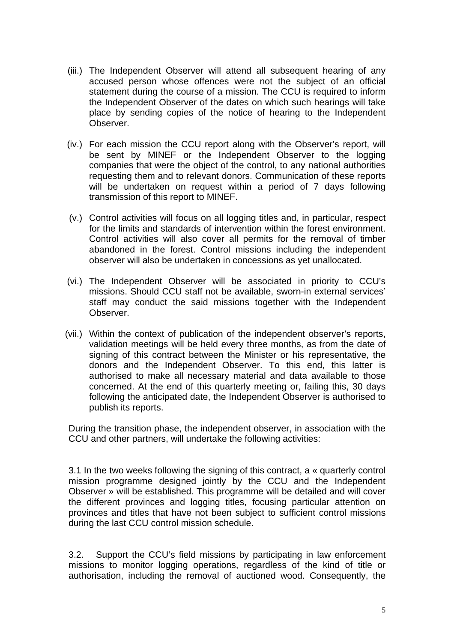- (iii.) The Independent Observer will attend all subsequent hearing of any accused person whose offences were not the subject of an official statement during the course of a mission. The CCU is required to inform the Independent Observer of the dates on which such hearings will take place by sending copies of the notice of hearing to the Independent Observer.
- (iv.) For each mission the CCU report along with the Observer's report, will be sent by MINEF or the Independent Observer to the logging companies that were the object of the control, to any national authorities requesting them and to relevant donors. Communication of these reports will be undertaken on request within a period of 7 days following transmission of this report to MINEF.
- (v.) Control activities will focus on all logging titles and, in particular, respect for the limits and standards of intervention within the forest environment. Control activities will also cover all permits for the removal of timber abandoned in the forest. Control missions including the independent observer will also be undertaken in concessions as yet unallocated.
- (vi.) The Independent Observer will be associated in priority to CCU's missions. Should CCU staff not be available, sworn-in external services' staff may conduct the said missions together with the Independent Observer.
- (vii.) Within the context of publication of the independent observer's reports, validation meetings will be held every three months, as from the date of signing of this contract between the Minister or his representative, the donors and the Independent Observer. To this end, this latter is authorised to make all necessary material and data available to those concerned. At the end of this quarterly meeting or, failing this, 30 days following the anticipated date, the Independent Observer is authorised to publish its reports.

During the transition phase, the independent observer, in association with the CCU and other partners, will undertake the following activities:

3.1 In the two weeks following the signing of this contract, a « quarterly control mission programme designed jointly by the CCU and the Independent Observer » will be established. This programme will be detailed and will cover the different provinces and logging titles, focusing particular attention on provinces and titles that have not been subject to sufficient control missions during the last CCU control mission schedule.

3.2. Support the CCU's field missions by participating in law enforcement missions to monitor logging operations, regardless of the kind of title or authorisation, including the removal of auctioned wood. Consequently, the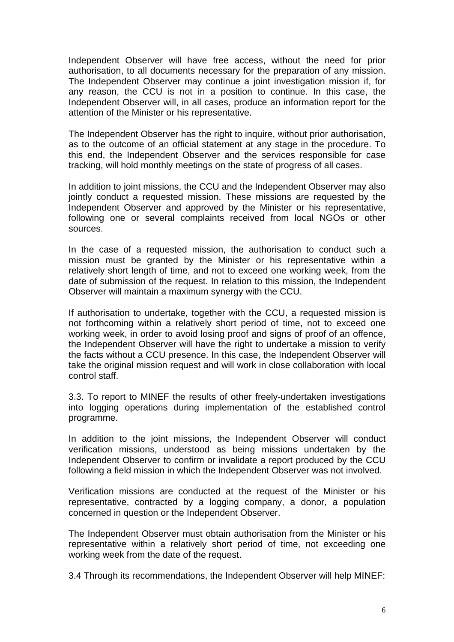Independent Observer will have free access, without the need for prior authorisation, to all documents necessary for the preparation of any mission. The Independent Observer may continue a joint investigation mission if, for any reason, the CCU is not in a position to continue. In this case, the Independent Observer will, in all cases, produce an information report for the attention of the Minister or his representative.

The Independent Observer has the right to inquire, without prior authorisation, as to the outcome of an official statement at any stage in the procedure. To this end, the Independent Observer and the services responsible for case tracking, will hold monthly meetings on the state of progress of all cases.

In addition to joint missions, the CCU and the Independent Observer may also jointly conduct a requested mission. These missions are requested by the Independent Observer and approved by the Minister or his representative, following one or several complaints received from local NGOs or other sources.

In the case of a requested mission, the authorisation to conduct such a mission must be granted by the Minister or his representative within a relatively short length of time, and not to exceed one working week, from the date of submission of the request. In relation to this mission, the Independent Observer will maintain a maximum synergy with the CCU.

If authorisation to undertake, together with the CCU, a requested mission is not forthcoming within a relatively short period of time, not to exceed one working week, in order to avoid losing proof and signs of proof of an offence, the Independent Observer will have the right to undertake a mission to verify the facts without a CCU presence. In this case, the Independent Observer will take the original mission request and will work in close collaboration with local control staff.

3.3. To report to MINEF the results of other freely-undertaken investigations into logging operations during implementation of the established control programme.

In addition to the joint missions, the Independent Observer will conduct verification missions, understood as being missions undertaken by the Independent Observer to confirm or invalidate a report produced by the CCU following a field mission in which the Independent Observer was not involved.

Verification missions are conducted at the request of the Minister or his representative, contracted by a logging company, a donor, a population concerned in question or the Independent Observer.

The Independent Observer must obtain authorisation from the Minister or his representative within a relatively short period of time, not exceeding one working week from the date of the request.

3.4 Through its recommendations, the Independent Observer will help MINEF: